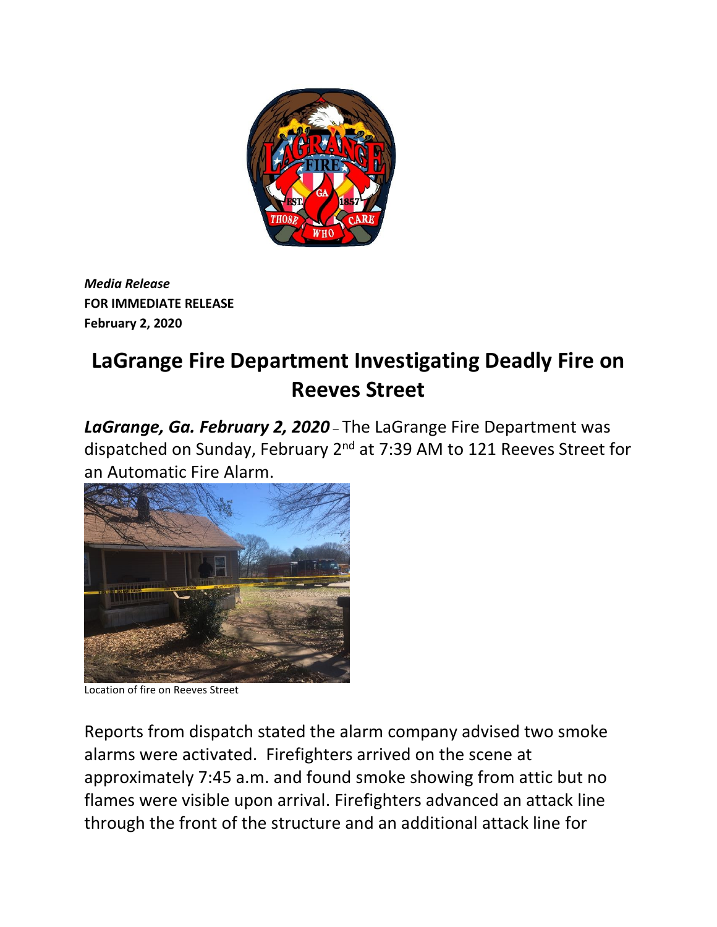

*Media Release* **FOR IMMEDIATE RELEASE February 2, 2020**

## **LaGrange Fire Department Investigating Deadly Fire on Reeves Street**

*LaGrange, Ga. February 2, 2020* – The LaGrange Fire Department was dispatched on Sunday, February 2nd at 7:39 AM to 121 Reeves Street for an Automatic Fire Alarm.



Location of fire on Reeves Street

Reports from dispatch stated the alarm company advised two smoke alarms were activated. Firefighters arrived on the scene at approximately 7:45 a.m. and found smoke showing from attic but no flames were visible upon arrival. Firefighters advanced an attack line through the front of the structure and an additional attack line for